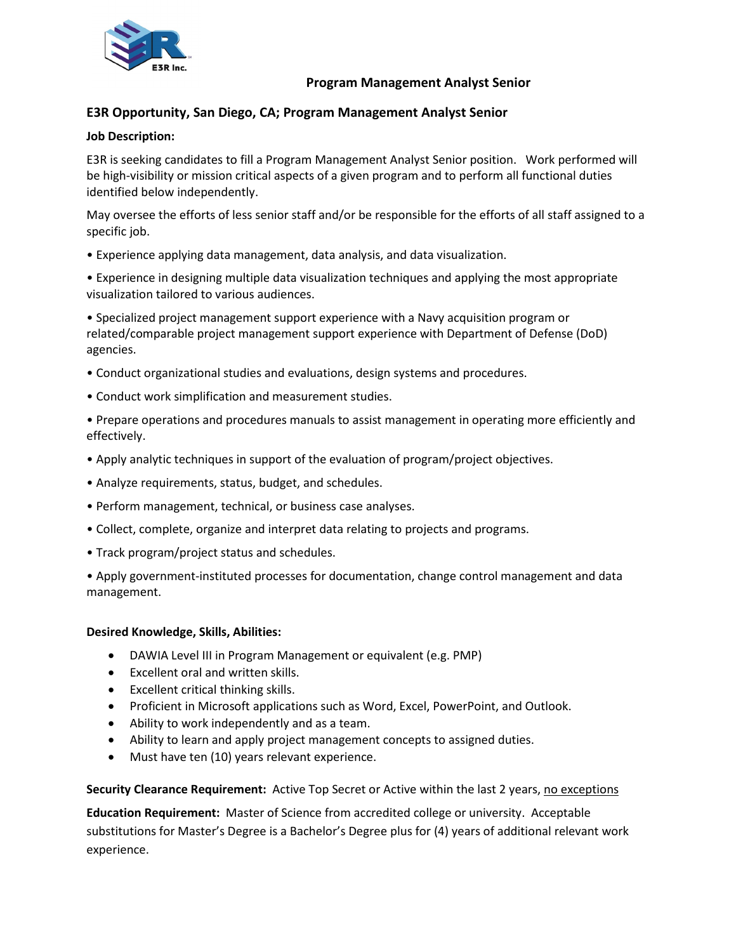

### **Program Management Analyst Senior**

# **E3R Opportunity, San Diego, CA; Program Management Analyst Senior**

### **Job Description:**

E3R is seeking candidates to fill a Program Management Analyst Senior position. Work performed will be high-visibility or mission critical aspects of a given program and to perform all functional duties identified below independently.

May oversee the efforts of less senior staff and/or be responsible for the efforts of all staff assigned to a specific job.

• Experience applying data management, data analysis, and data visualization.

• Experience in designing multiple data visualization techniques and applying the most appropriate visualization tailored to various audiences.

• Specialized project management support experience with a Navy acquisition program or related/comparable project management support experience with Department of Defense (DoD) agencies.

- Conduct organizational studies and evaluations, design systems and procedures.
- Conduct work simplification and measurement studies.

• Prepare operations and procedures manuals to assist management in operating more efficiently and effectively.

- Apply analytic techniques in support of the evaluation of program/project objectives.
- Analyze requirements, status, budget, and schedules.
- Perform management, technical, or business case analyses.
- Collect, complete, organize and interpret data relating to projects and programs.
- Track program/project status and schedules.

• Apply government-instituted processes for documentation, change control management and data management.

#### **Desired Knowledge, Skills, Abilities:**

- DAWIA Level III in Program Management or equivalent (e.g. PMP)
- Excellent oral and written skills.
- Excellent critical thinking skills.
- Proficient in Microsoft applications such as Word, Excel, PowerPoint, and Outlook.
- Ability to work independently and as a team.
- Ability to learn and apply project management concepts to assigned duties.
- Must have ten (10) years relevant experience.

**Security Clearance Requirement:** Active Top Secret or Active within the last 2 years, no exceptions

**Education Requirement:** Master of Science from accredited college or university. Acceptable substitutions for Master's Degree is a Bachelor's Degree plus for (4) years of additional relevant work experience.